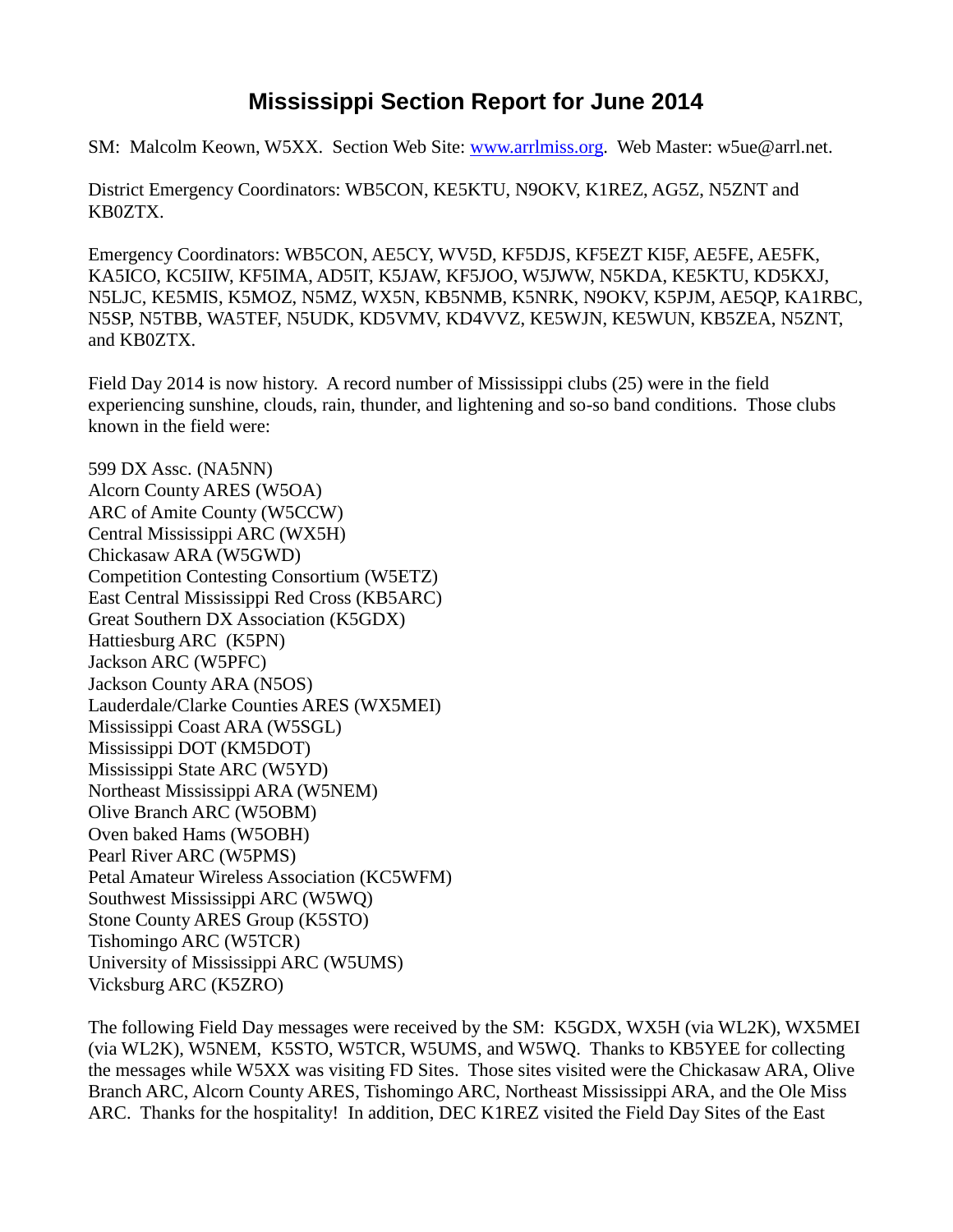## **Mississippi Section Report for June 2014**

SM: Malcolm Keown, W5XX. Section Web Site: [www.arrlmiss.org.](http://www.arrlmiss.org/) Web Master: w5ue@arrl.net.

District Emergency Coordinators: WB5CON, KE5KTU, N9OKV, K1REZ, AG5Z, N5ZNT and KB0ZTX.

Emergency Coordinators: WB5CON, AE5CY, WV5D, KF5DJS, KF5EZT KI5F, AE5FE, AE5FK, KA5ICO, KC5IIW, KF5IMA, AD5IT, K5JAW, KF5JOO, W5JWW, N5KDA, KE5KTU, KD5KXJ, N5LJC, KE5MIS, K5MOZ, N5MZ, WX5N, KB5NMB, K5NRK, N9OKV, K5PJM, AE5QP, KA1RBC, N5SP, N5TBB, WA5TEF, N5UDK, KD5VMV, KD4VVZ, KE5WJN, KE5WUN, KB5ZEA, N5ZNT, and KB0ZTX.

Field Day 2014 is now history. A record number of Mississippi clubs (25) were in the field experiencing sunshine, clouds, rain, thunder, and lightening and so-so band conditions. Those clubs known in the field were:

599 DX Assc. (NA5NN) Alcorn County ARES (W5OA) ARC of Amite County (W5CCW) Central Mississippi ARC (WX5H) Chickasaw ARA (W5GWD) Competition Contesting Consortium (W5ETZ) East Central Mississippi Red Cross (KB5ARC) Great Southern DX Association (K5GDX) Hattiesburg ARC (K5PN) Jackson ARC (W5PFC) Jackson County ARA (N5OS) Lauderdale/Clarke Counties ARES (WX5MEI) Mississippi Coast ARA (W5SGL) Mississippi DOT (KM5DOT) Mississippi State ARC (W5YD) Northeast Mississippi ARA (W5NEM) Olive Branch ARC (W5OBM) Oven baked Hams (W5OBH) Pearl River ARC (W5PMS) Petal Amateur Wireless Association (KC5WFM) Southwest Mississippi ARC (W5WQ) Stone County ARES Group (K5STO) Tishomingo ARC (W5TCR) University of Mississippi ARC (W5UMS) Vicksburg ARC (K5ZRO)

The following Field Day messages were received by the SM: K5GDX, WX5H (via WL2K), WX5MEI (via WL2K), W5NEM, K5STO, W5TCR, W5UMS, and W5WQ. Thanks to KB5YEE for collecting the messages while W5XX was visiting FD Sites. Those sites visited were the Chickasaw ARA, Olive Branch ARC, Alcorn County ARES, Tishomingo ARC, Northeast Mississippi ARA, and the Ole Miss ARC. Thanks for the hospitality! In addition, DEC K1REZ visited the Field Day Sites of the East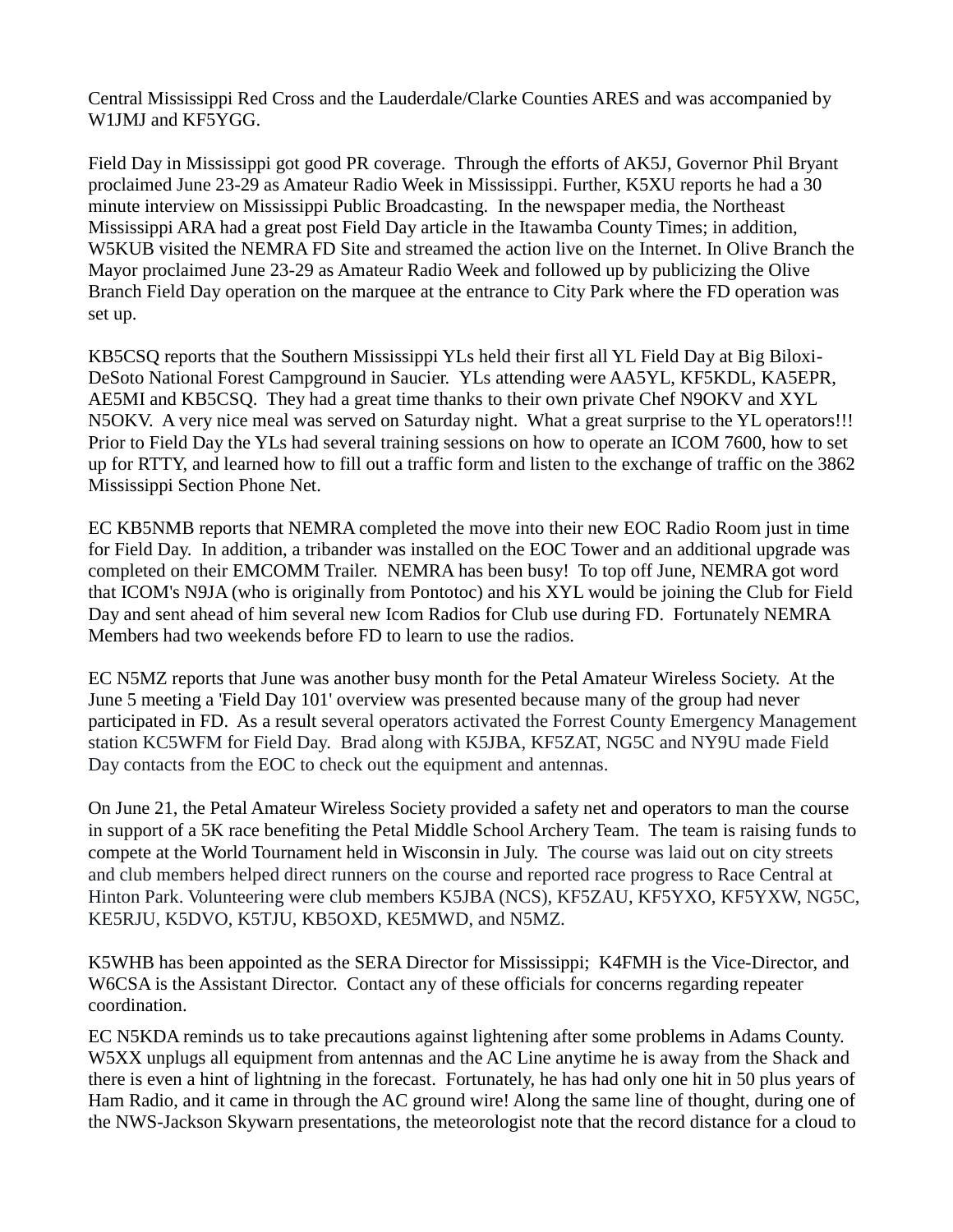Central Mississippi Red Cross and the Lauderdale/Clarke Counties ARES and was accompanied by W1JMJ and KF5YGG.

Field Day in Mississippi got good PR coverage. Through the efforts of AK5J, Governor Phil Bryant proclaimed June 23-29 as Amateur Radio Week in Mississippi. Further, K5XU reports he had a 30 minute interview on Mississippi Public Broadcasting. In the newspaper media, the Northeast Mississippi ARA had a great post Field Day article in the Itawamba County Times; in addition, W5KUB visited the NEMRA FD Site and streamed the action live on the Internet. In Olive Branch the Mayor proclaimed June 23-29 as Amateur Radio Week and followed up by publicizing the Olive Branch Field Day operation on the marquee at the entrance to City Park where the FD operation was set up.

KB5CSQ reports that the Southern Mississippi YLs held their first all YL Field Day at Big Biloxi-DeSoto National Forest Campground in Saucier. YLs attending were AA5YL, KF5KDL, KA5EPR, AE5MI and KB5CSQ. They had a great time thanks to their own private Chef N9OKV and XYL N5OKV. A very nice meal was served on Saturday night. What a great surprise to the YL operators!!! Prior to Field Day the YLs had several training sessions on how to operate an ICOM 7600, how to set up for RTTY, and learned how to fill out a traffic form and listen to the exchange of traffic on the 3862 Mississippi Section Phone Net.

EC KB5NMB reports that NEMRA completed the move into their new EOC Radio Room just in time for Field Day. In addition, a tribander was installed on the EOC Tower and an additional upgrade was completed on their EMCOMM Trailer. NEMRA has been busy! To top off June, NEMRA got word that ICOM's N9JA (who is originally from Pontotoc) and his XYL would be joining the Club for Field Day and sent ahead of him several new Icom Radios for Club use during FD. Fortunately NEMRA Members had two weekends before FD to learn to use the radios.

EC N5MZ reports that June was another busy month for the Petal Amateur Wireless Society. At the June 5 meeting a 'Field Day 101' overview was presented because many of the group had never participated in FD. As a result several operators activated the Forrest County Emergency Management station KC5WFM for Field Day. Brad along with K5JBA, KF5ZAT, NG5C and NY9U made Field Day contacts from the EOC to check out the equipment and antennas.

On June 21, the Petal Amateur Wireless Society provided a safety net and operators to man the course in support of a 5K race benefiting the Petal Middle School Archery Team. The team is raising funds to compete at the World Tournament held in Wisconsin in July. The course was laid out on city streets and club members helped direct runners on the course and reported race progress to Race Central at Hinton Park. Volunteering were club members K5JBA (NCS), KF5ZAU, KF5YXO, KF5YXW, NG5C, KE5RJU, K5DVO, K5TJU, KB5OXD, KE5MWD, and N5MZ.

K5WHB has been appointed as the SERA Director for Mississippi; K4FMH is the Vice-Director, and W6CSA is the Assistant Director. Contact any of these officials for concerns regarding repeater coordination.

EC N5KDA reminds us to take precautions against lightening after some problems in Adams County. W5XX unplugs all equipment from antennas and the AC Line anytime he is away from the Shack and there is even a hint of lightning in the forecast. Fortunately, he has had only one hit in 50 plus years of Ham Radio, and it came in through the AC ground wire! Along the same line of thought, during one of the NWS-Jackson Skywarn presentations, the meteorologist note that the record distance for a cloud to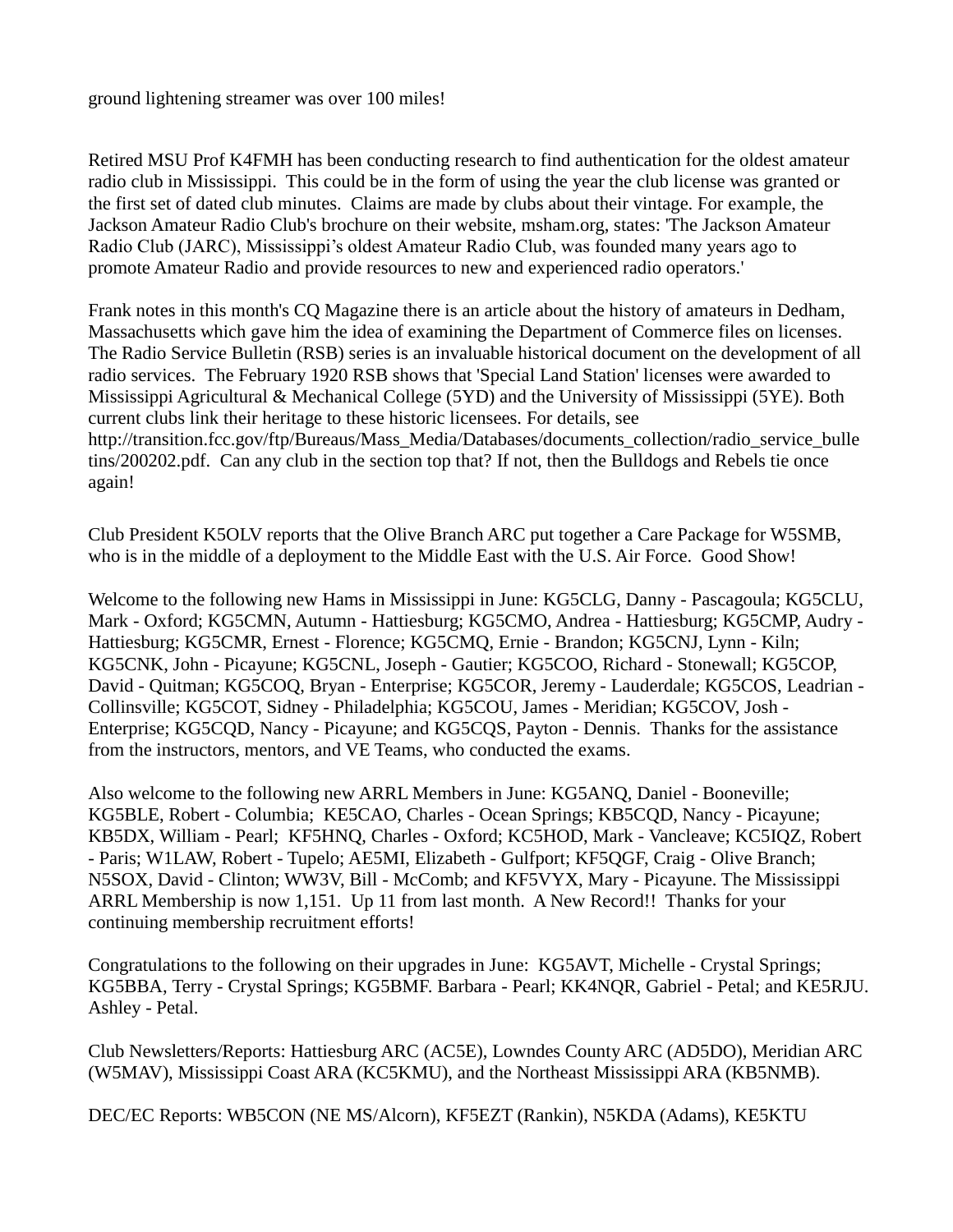ground lightening streamer was over 100 miles!

Retired MSU Prof K4FMH has been conducting research to find authentication for the oldest amateur radio club in Mississippi. This could be in the form of using the year the club license was granted or the first set of dated club minutes. Claims are made by clubs about their vintage. For example, the Jackson Amateur Radio Club's brochure on their website, [msham.org,](http://msham.org/) states: 'The Jackson Amateur Radio Club (JARC), Mississippi's oldest Amateur Radio Club, was founded many years ago to promote Amateur Radio and provide resources to new and experienced radio operators.'

Frank notes in this month's CQ Magazine there is an article about the history of amateurs in Dedham, Massachusetts which gave him the idea of examining the Department of Commerce files on licenses. The Radio Service Bulletin (RSB) series is an invaluable historical document on the development of all radio services. The February 1920 RSB shows that 'Special Land Station' licenses were awarded to Mississippi Agricultural & Mechanical College (5YD) and the University of Mississippi (5YE). Both current clubs link their heritage to these historic licensees. For details, see [http://transition.fcc.gov/ftp/Bureaus/Mass\\_Media/Databases/documents\\_collection/radio\\_service\\_bulle](http://transition.fcc.gov/ftp/Bureaus/Mass_Media/Databases/documents_collection/radio_service_bulletins/200202.pdf) [tins/200202.pdf.](http://transition.fcc.gov/ftp/Bureaus/Mass_Media/Databases/documents_collection/radio_service_bulletins/200202.pdf) Can any club in the section top that? If not, then the Bulldogs and Rebels tie once again!

Club President K5OLV reports that the Olive Branch ARC put together a Care Package for W5SMB, who is in the middle of a deployment to the Middle East with the U.S. Air Force. Good Show!

Welcome to the following new Hams in Mississippi in June: KG5CLG, Danny - Pascagoula; KG5CLU, Mark - Oxford; KG5CMN, Autumn - Hattiesburg; KG5CMO, Andrea - Hattiesburg; KG5CMP, Audry - Hattiesburg; KG5CMR, Ernest - Florence; KG5CMQ, Ernie - Brandon; KG5CNJ, Lynn - Kiln; KG5CNK, John - Picayune; KG5CNL, Joseph - Gautier; KG5COO, Richard - Stonewall; KG5COP, David - Quitman; KG5COQ, Bryan - Enterprise; KG5COR, Jeremy - Lauderdale; KG5COS, Leadrian - Collinsville; KG5COT, Sidney - Philadelphia; KG5COU, James - Meridian; KG5COV, Josh - Enterprise; KG5CQD, Nancy - Picayune; and KG5CQS, Payton - Dennis. Thanks for the assistance from the instructors, mentors, and VE Teams, who conducted the exams.

Also welcome to the following new ARRL Members in June: KG5ANQ, Daniel - Booneville; KG5BLE, Robert - Columbia; KE5CAO, Charles - Ocean Springs; KB5CQD, Nancy - Picayune; KB5DX, William - Pearl; KF5HNQ, Charles - Oxford; KC5HOD, Mark - Vancleave; KC5IQZ, Robert - Paris; W1LAW, Robert - Tupelo; AE5MI, Elizabeth - Gulfport; KF5QGF, Craig - Olive Branch; N5SOX, David - Clinton; WW3V, Bill - McComb; and KF5VYX, Mary - Picayune. The Mississippi ARRL Membership is now 1,151. Up 11 from last month. A New Record!! Thanks for your continuing membership recruitment efforts!

Congratulations to the following on their upgrades in June: KG5AVT, Michelle - Crystal Springs; KG5BBA, Terry - Crystal Springs; KG5BMF. Barbara - Pearl; KK4NQR, Gabriel - Petal; and KE5RJU. Ashley - Petal.

Club Newsletters/Reports: Hattiesburg ARC (AC5E), Lowndes County ARC (AD5DO), Meridian ARC (W5MAV), Mississippi Coast ARA (KC5KMU), and the Northeast Mississippi ARA (KB5NMB).

DEC/EC Reports: WB5CON (NE MS/Alcorn), KF5EZT (Rankin), N5KDA (Adams), KE5KTU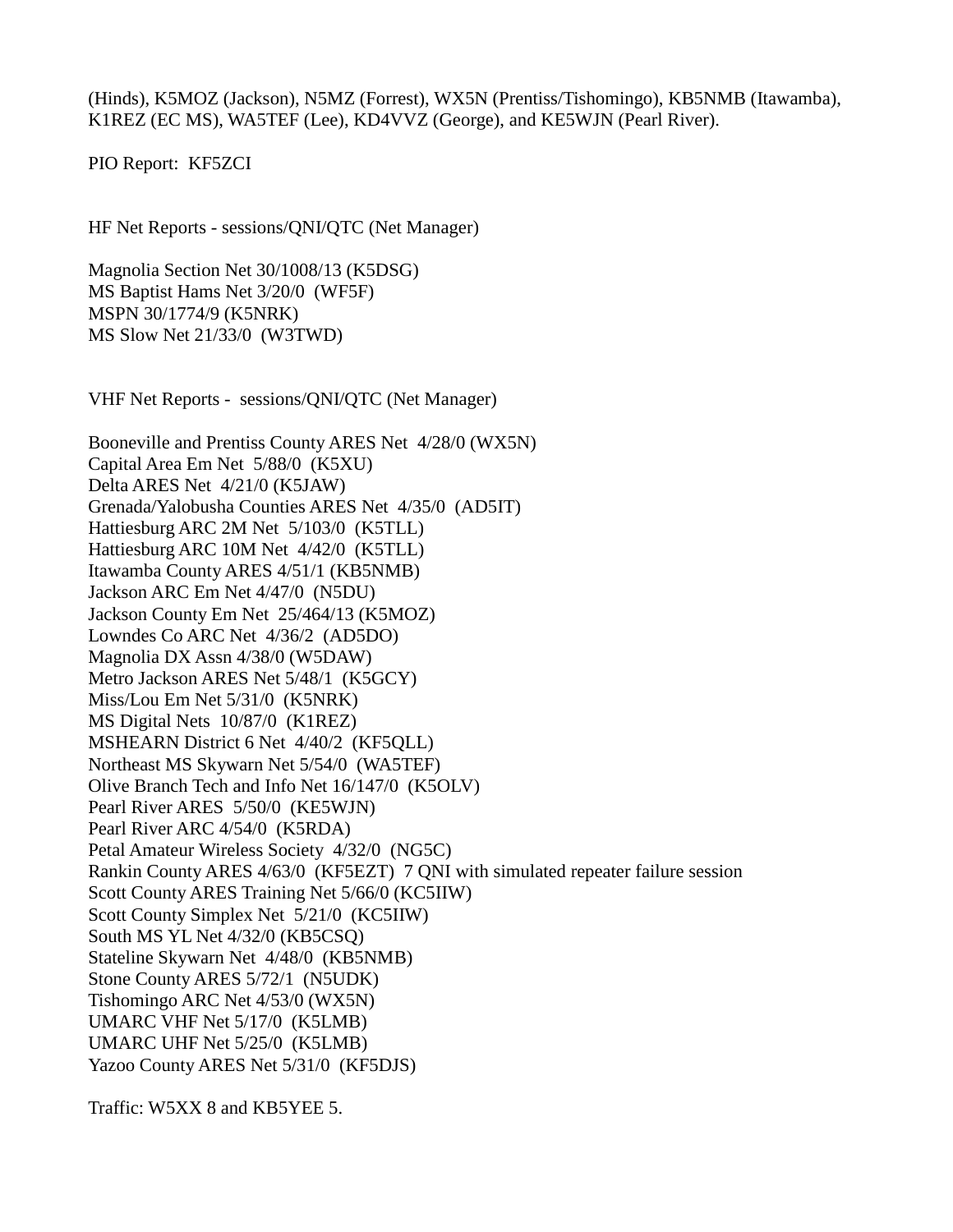(Hinds), K5MOZ (Jackson), N5MZ (Forrest), WX5N (Prentiss/Tishomingo), KB5NMB (Itawamba), K1REZ (EC MS), WA5TEF (Lee), KD4VVZ (George), and KE5WJN (Pearl River).

PIO Report: KF5ZCI

HF Net Reports - sessions/QNI/QTC (Net Manager)

Magnolia Section Net 30/1008/13 (K5DSG) MS Baptist Hams Net 3/20/0 (WF5F) MSPN 30/1774/9 (K5NRK) MS Slow Net 21/33/0 (W3TWD)

VHF Net Reports - sessions/QNI/QTC (Net Manager)

Booneville and Prentiss County ARES Net 4/28/0 (WX5N) Capital Area Em Net 5/88/0 (K5XU) Delta ARES Net 4/21/0 (K5JAW) Grenada/Yalobusha Counties ARES Net 4/35/0 (AD5IT) Hattiesburg ARC 2M Net 5/103/0 (K5TLL) Hattiesburg ARC 10M Net 4/42/0 (K5TLL) Itawamba County ARES 4/51/1 (KB5NMB) Jackson ARC Em Net 4/47/0 (N5DU) Jackson County Em Net 25/464/13 (K5MOZ) Lowndes Co ARC Net 4/36/2 (AD5DO) Magnolia DX Assn 4/38/0 (W5DAW) Metro Jackson ARES Net 5/48/1 (K5GCY) Miss/Lou Em Net 5/31/0 (K5NRK) MS Digital Nets 10/87/0 (K1REZ) MSHEARN District 6 Net 4/40/2 (KF5QLL) Northeast MS Skywarn Net 5/54/0 (WA5TEF) Olive Branch Tech and Info Net 16/147/0 (K5OLV) Pearl River ARES 5/50/0 (KE5WJN) Pearl River ARC 4/54/0 (K5RDA) Petal Amateur Wireless Society 4/32/0 (NG5C) Rankin County ARES 4/63/0 (KF5EZT) 7 QNI with simulated repeater failure session Scott County ARES Training Net 5/66/0 (KC5IIW) Scott County Simplex Net 5/21/0 (KC5IIW) South MS YL Net 4/32/0 (KB5CSQ) Stateline Skywarn Net 4/48/0 (KB5NMB) Stone County ARES 5/72/1 (N5UDK) Tishomingo ARC Net 4/53/0 (WX5N) UMARC VHF Net 5/17/0 (K5LMB) UMARC UHF Net 5/25/0 (K5LMB) Yazoo County ARES Net 5/31/0 (KF5DJS)

Traffic: W5XX 8 and KB5YEE 5.